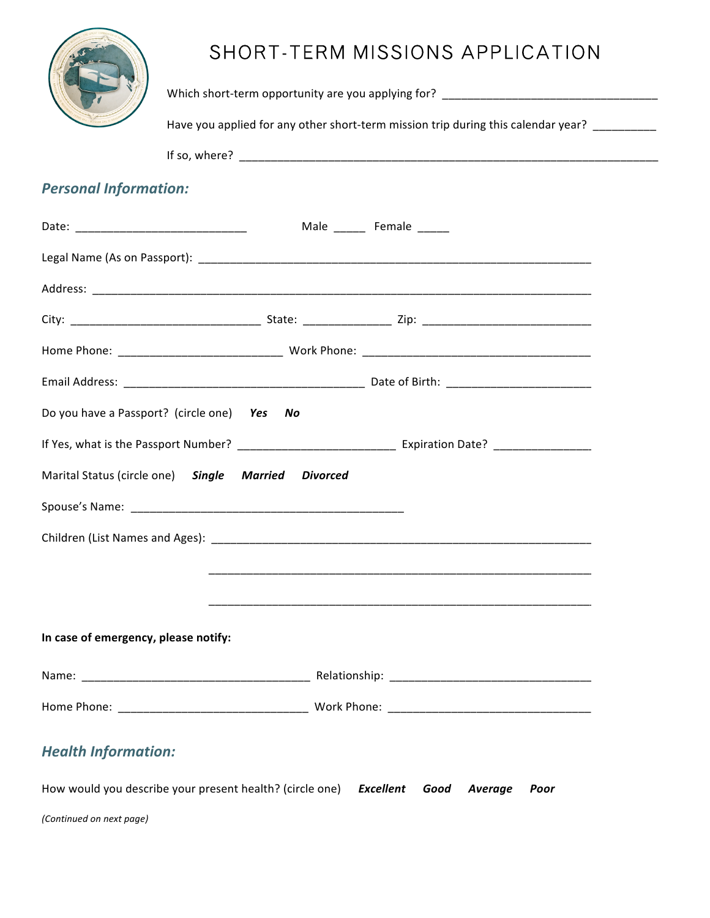| AND ROOM<br><b>GREAT COMMING</b><br>ž<br>ï |  |
|--------------------------------------------|--|
| S.                                         |  |

# SHORT-TERM MISSIONS APPLICATION

Which%short\*term%opportunity%are%you%applying%for?%%\_\_\_\_\_\_\_\_\_\_\_\_\_\_\_\_\_\_\_\_\_\_\_\_\_\_\_\_\_\_\_\_\_\_

Have you applied for any other short-term mission trip during this calendar year? \_\_\_\_\_\_\_\_\_

If%so,%where?%%\_\_\_\_\_\_\_\_\_\_\_\_\_\_\_\_\_\_\_\_\_\_\_\_\_\_\_\_\_\_\_\_\_\_\_\_\_\_\_\_\_\_\_\_\_\_\_\_\_\_\_\_\_\_\_\_\_\_\_\_\_\_\_\_\_\_

# **Personal Information:**

*(Continued\*on\*next\*page)*

|                                                                                 | Male ________ Female ______                                                                                            |
|---------------------------------------------------------------------------------|------------------------------------------------------------------------------------------------------------------------|
|                                                                                 |                                                                                                                        |
|                                                                                 |                                                                                                                        |
|                                                                                 |                                                                                                                        |
|                                                                                 |                                                                                                                        |
|                                                                                 |                                                                                                                        |
| Do you have a Passport? (circle one) Yes<br>No                                  |                                                                                                                        |
|                                                                                 | If Yes, what is the Passport Number? _______________________________ Expiration Date? ________________________         |
| Marital Status (circle one) Single Married Divorced                             |                                                                                                                        |
|                                                                                 |                                                                                                                        |
|                                                                                 |                                                                                                                        |
|                                                                                 | <u> 1989 - Andrea Santana, amerikana amerikana amerikana amerikana amerikana amerikana amerikana amerikana amerika</u> |
|                                                                                 |                                                                                                                        |
| In case of emergency, please notify:                                            |                                                                                                                        |
|                                                                                 |                                                                                                                        |
|                                                                                 |                                                                                                                        |
| <b>Health Information:</b>                                                      |                                                                                                                        |
| How would you describe your present health? (circle one) Excellent Good Average | Poor                                                                                                                   |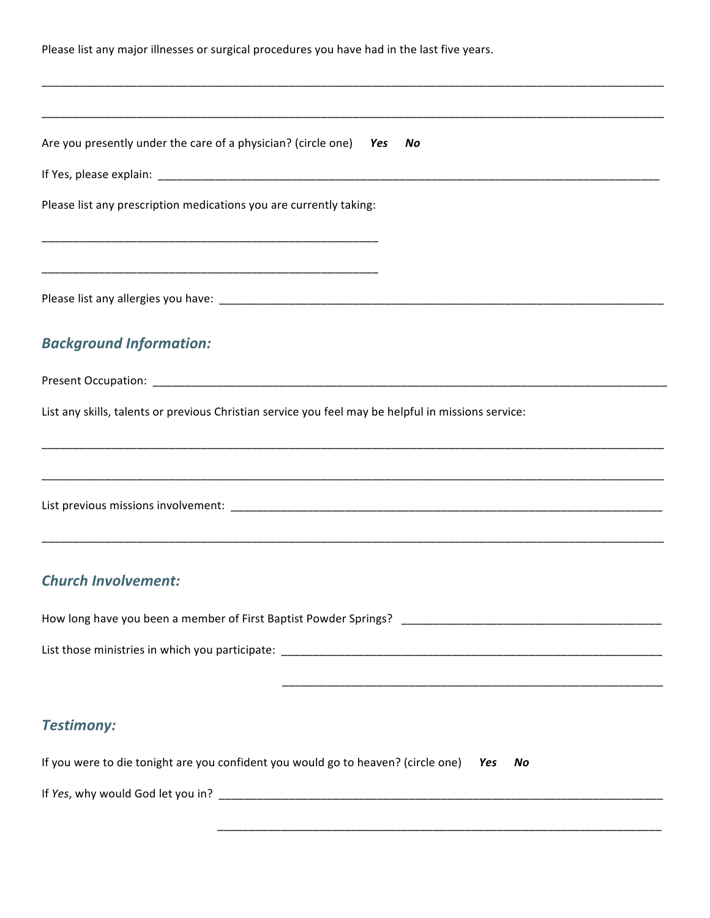| Please list any major illnesses or surgical procedures you have had in the last five years.<br><u> 1989 - Johann Stoff, deutscher Stoff, der Stoff, der Stoff, der Stoff, der Stoff, der Stoff, der Stoff, der S</u> |  |  |  |  |
|----------------------------------------------------------------------------------------------------------------------------------------------------------------------------------------------------------------------|--|--|--|--|
|                                                                                                                                                                                                                      |  |  |  |  |
| Are you presently under the care of a physician? (circle one) Yes No                                                                                                                                                 |  |  |  |  |
|                                                                                                                                                                                                                      |  |  |  |  |
| Please list any prescription medications you are currently taking:                                                                                                                                                   |  |  |  |  |
|                                                                                                                                                                                                                      |  |  |  |  |
|                                                                                                                                                                                                                      |  |  |  |  |
| <b>Background Information:</b>                                                                                                                                                                                       |  |  |  |  |
|                                                                                                                                                                                                                      |  |  |  |  |
| List any skills, talents or previous Christian service you feel may be helpful in missions service:                                                                                                                  |  |  |  |  |
|                                                                                                                                                                                                                      |  |  |  |  |
|                                                                                                                                                                                                                      |  |  |  |  |
| <b>Church Involvement:</b>                                                                                                                                                                                           |  |  |  |  |
|                                                                                                                                                                                                                      |  |  |  |  |
|                                                                                                                                                                                                                      |  |  |  |  |
|                                                                                                                                                                                                                      |  |  |  |  |
| <b>Testimony:</b>                                                                                                                                                                                                    |  |  |  |  |
| If you were to die tonight are you confident you would go to heaven? (circle one) Yes<br>No                                                                                                                          |  |  |  |  |
|                                                                                                                                                                                                                      |  |  |  |  |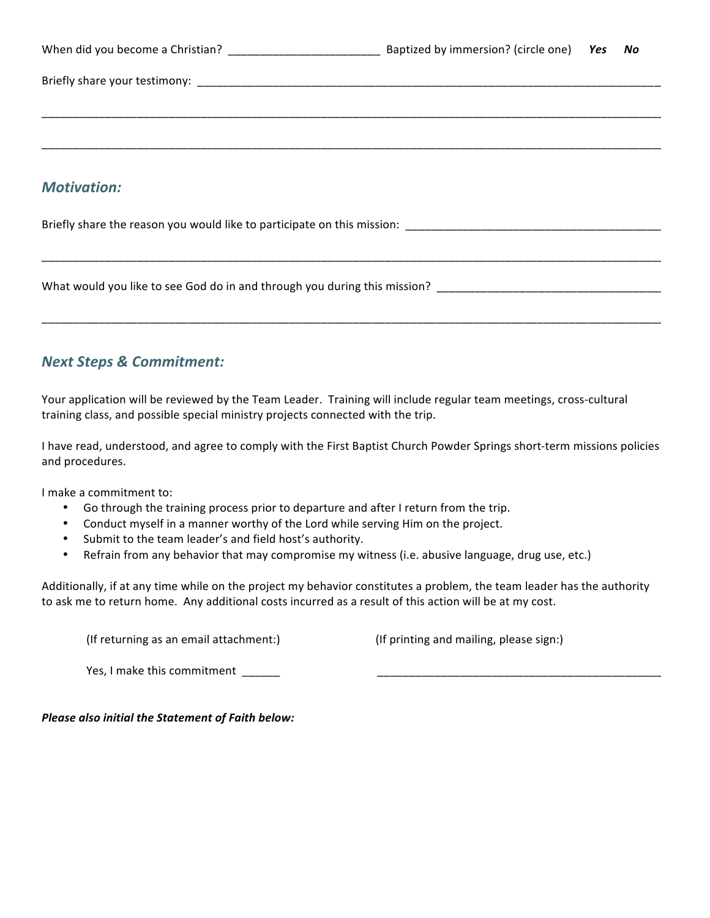| When did you become a Christian? | Baptized by immersion? (circle one) Yes No |  |  |
|----------------------------------|--------------------------------------------|--|--|
|                                  |                                            |  |  |
|                                  |                                            |  |  |
|                                  |                                            |  |  |
| <b>Motivation:</b>               |                                            |  |  |

\_\_\_\_\_\_\_\_\_\_\_\_\_\_\_\_\_\_\_\_\_\_\_\_\_\_\_\_\_\_\_\_\_\_\_\_\_\_\_\_\_\_\_\_\_\_\_\_\_\_\_\_\_\_\_\_\_\_\_\_\_\_\_\_\_\_\_\_\_\_\_\_\_\_\_\_\_\_\_\_\_\_\_\_\_\_\_\_\_\_\_\_\_\_\_\_\_\_

\_\_\_\_\_\_\_\_\_\_\_\_\_\_\_\_\_\_\_\_\_\_\_\_\_\_\_\_\_\_\_\_\_\_\_\_\_\_\_\_\_\_\_\_\_\_\_\_\_\_\_\_\_\_\_\_\_\_\_\_\_\_\_\_\_\_\_\_\_\_\_\_\_\_\_\_\_\_\_\_\_\_\_\_\_\_\_\_\_\_\_\_\_\_\_\_\_\_

Briefly%share%the%reason%you%would%like%to%participate%on%this%mission:%%\_\_\_\_\_\_\_\_\_\_\_\_\_\_\_\_\_\_\_\_\_\_\_\_\_\_\_\_\_\_\_\_\_\_\_\_\_\_\_\_\_

What would you like to see God do in and through you during this mission?

## **Next Steps & Commitment:**

Your application will be reviewed by the Team Leader. Training will include regular team meetings, cross-cultural training class, and possible special ministry projects connected with the trip.

I have read, understood, and agree to comply with the First Baptist Church Powder Springs short-term missions policies and procedures.

I make a commitment to:

- Go through the training process prior to departure and after I return from the trip.
- Conduct myself in a manner worthy of the Lord while serving Him on the project.
- Submit to the team leader's and field host's authority.
- Refrain from any behavior that may compromise my witness (i.e. abusive language, drug use, etc.)

Additionally, if at any time while on the project my behavior constitutes a problem, the team leader has the authority to ask me to return home. Any additional costs incurred as a result of this action will be at my cost.

(If returning as an email attachment:) (If printing and mailing, please sign:)

Yes, I make this commitment

*Please also initial the Statement of Faith below:*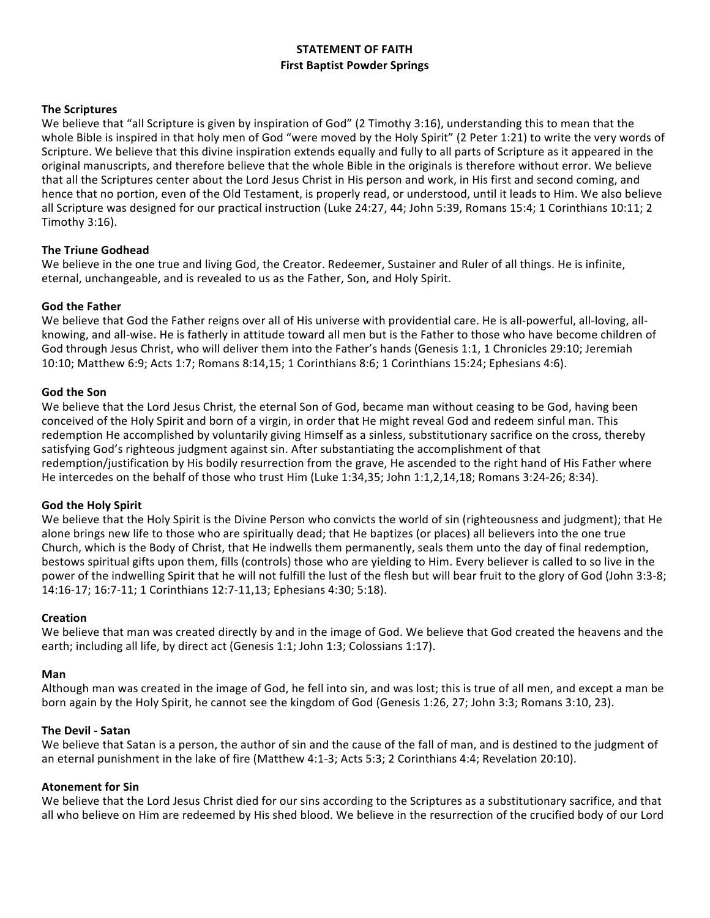## **STATEMENT OF FAITH First Baptist Powder Springs**

#### **The Scriptures**

We believe that "all Scripture is given by inspiration of God" (2 Timothy 3:16), understanding this to mean that the whole Bible is inspired in that holy men of God "were moved by the Holy Spirit" (2 Peter 1:21) to write the very words of Scripture. We believe that this divine inspiration extends equally and fully to all parts of Scripture as it appeared in the original manuscripts, and therefore believe that the whole Bible in the originals is therefore without error. We believe that all the Scriptures center about the Lord Jesus Christ in His person and work, in His first and second coming, and hence that no portion, even of the Old Testament, is properly read, or understood, until it leads to Him. We also believe all Scripture was designed for our practical instruction (Luke 24:27, 44; John 5:39, Romans 15:4; 1 Corinthians 10:11; 2 Timothy  $3:16$ ).

#### **The Triune Godhead**

We believe in the one true and living God, the Creator. Redeemer, Sustainer and Ruler of all things. He is infinite, eternal, unchangeable, and is revealed to us as the Father, Son, and Holy Spirit.

#### **God the Father**

We believe that God the Father reigns over all of His universe with providential care. He is all-powerful, all-loving, allknowing, and all-wise. He is fatherly in attitude toward all men but is the Father to those who have become children of God through Jesus Christ, who will deliver them into the Father's hands (Genesis 1:1, 1 Chronicles 29:10; Jeremiah 10:10; Matthew 6:9; Acts 1:7; Romans 8:14,15; 1 Corinthians 8:6; 1 Corinthians 15:24; Ephesians 4:6).

#### **God the Son**

We believe that the Lord Jesus Christ, the eternal Son of God, became man without ceasing to be God, having been conceived of the Holy Spirit and born of a virgin, in order that He might reveal God and redeem sinful man. This redemption He accomplished by voluntarily giving Himself as a sinless, substitutionary sacrifice on the cross, thereby satisfying God's righteous judgment against sin. After substantiating the accomplishment of that redemption/justification by His bodily resurrection from the grave, He ascended to the right hand of His Father where He intercedes on the behalf of those who trust Him (Luke 1:34,35; John 1:1,2,14,18; Romans 3:24-26; 8:34).

#### **God the Holy Spirit**

We believe that the Holy Spirit is the Divine Person who convicts the world of sin (righteousness and judgment); that He alone brings new life to those who are spiritually dead; that He baptizes (or places) all believers into the one true Church, which is the Body of Christ, that He indwells them permanently, seals them unto the day of final redemption, bestows spiritual gifts upon them, fills (controls) those who are yielding to Him. Every believer is called to so live in the power of the indwelling Spirit that he will not fulfill the lust of the flesh but will bear fruit to the glory of God (John 3:3-8; 14:16-17; 16:7-11; 1 Corinthians 12:7-11,13; Ephesians 4:30; 5:18).

#### **Creation**

We believe that man was created directly by and in the image of God. We believe that God created the heavens and the earth; including all life, by direct act (Genesis 1:1; John 1:3; Colossians 1:17).

#### **Man**

Although man was created in the image of God, he fell into sin, and was lost; this is true of all men, and except a man be born again by the Holy Spirit, he cannot see the kingdom of God (Genesis 1:26, 27; John 3:3; Romans 3:10, 23).

#### **The Devil - Satan**

We believe that Satan is a person, the author of sin and the cause of the fall of man, and is destined to the judgment of an eternal punishment in the lake of fire (Matthew 4:1-3; Acts 5:3; 2 Corinthians 4:4; Revelation 20:10).

#### **Atonement for Sin**

We believe that the Lord Jesus Christ died for our sins according to the Scriptures as a substitutionary sacrifice, and that all who believe on Him are redeemed by His shed blood. We believe in the resurrection of the crucified body of our Lord